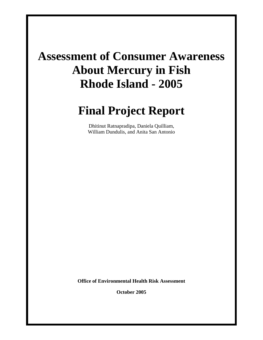# **Assessment of Consumer Awareness About Mercury in Fish Rhode Island - 2005**

# **Final Project Report**

Dhitinut Ratnapradipa, Daniela Quilliam, William Dundulis, and Anita San Antonio

**Office of Environmental Health Risk Assessment** 

**October 2005**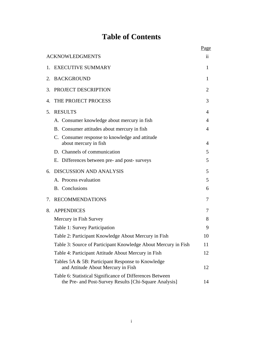# **Table of Contents**

|         |                                                                                                                    | Page          |
|---------|--------------------------------------------------------------------------------------------------------------------|---------------|
|         | <b>ACKNOWLEDGMENTS</b>                                                                                             | $\mathbf{ii}$ |
| 1.      | <b>EXECUTIVE SUMMARY</b>                                                                                           | 1             |
| $2_{-}$ | <b>BACKGROUND</b>                                                                                                  | 1             |
| 3.      | PROJECT DESCRIPTION                                                                                                | 2             |
| 4.      | THE PROJECT PROCESS                                                                                                | 3             |
| 5.      | <b>RESULTS</b>                                                                                                     | 4             |
|         | A. Consumer knowledge about mercury in fish                                                                        | 4             |
|         | B. Consumer attitudes about mercury in fish                                                                        | 4             |
|         | C. Consumer response to knowledge and attitude<br>about mercury in fish                                            | 4             |
|         | D. Channels of communication                                                                                       | 5             |
|         | E. Differences between pre- and post- surveys                                                                      | 5             |
|         |                                                                                                                    |               |
| 6.      | <b>DISCUSSION AND ANALYSIS</b>                                                                                     | 5             |
|         | A. Process evaluation                                                                                              | 5             |
|         | <b>B.</b> Conclusions                                                                                              | 6             |
| 7.      | <b>RECOMMENDATIONS</b>                                                                                             | 7             |
| 8.      | <b>APPENDICES</b>                                                                                                  | 7             |
|         | Mercury in Fish Survey                                                                                             | 8             |
|         | Table 1: Survey Participation                                                                                      | 9             |
|         | Table 2: Participant Knowledge About Mercury in Fish                                                               | 10            |
|         | Table 3: Source of Participant Knowledge About Mercury in Fish                                                     | 11            |
|         | Table 4: Participant Attitude About Mercury in Fish                                                                | 12            |
|         | Tables 5A & 5B: Participant Response to Knowledge<br>and Attitude About Mercury in Fish                            | 12            |
|         | Table 6: Statistical Significance of Differences Between<br>the Pre- and Post-Survey Results [Chi-Square Analysis] | 14            |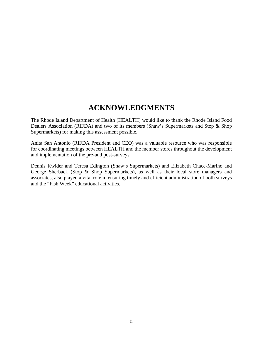# **ACKNOWLEDGMENTS**

The Rhode Island Department of Health (HEALTH) would like to thank the Rhode Island Food Dealers Association (RIFDA) and two of its members (Shaw's Supermarkets and Stop & Shop Supermarkets) for making this assessment possible.

Anita San Antonio (RIFDA President and CEO) was a valuable resource who was responsible for coordinating meetings between HEALTH and the member stores throughout the development and implementation of the pre-and post-surveys.

Dennis Kwider and Teresa Edington (Shaw's Supermarkets) and Elizabeth Chace-Marino and George Sherback (Stop & Shop Supermarkets), as well as their local store managers and associates, also played a vital role in ensuring timely and efficient administration of both surveys and the "Fish Week" educational activities.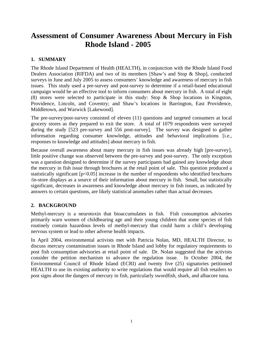# **Assessment of Consumer Awareness About Mercury in Fish Rhode Island - 2005**

#### **1. SUMMARY**

The Rhode Island Department of Health (HEALTH), in conjunction with the Rhode Island Food Dealers Association (RIFDA) and two of its members [Shaw's and Stop & Shop], conducted surveys in June and July 2005 to assess consumers' knowledge and awareness of mercury in fish issues. This study used a pre-survey and post-survey to determine if a retail-based educational campaign would be an effective tool to inform consumers about mercury in fish. A total of eight (8) stores were selected to participate in this study: Stop & Shop locations in Kingston, Providence, Lincoln, and Coventry; and Shaw's locations in Barrington, East Providence, Middletown, and Warwick [Lakewood].

The pre-survey/post-survey consisted of eleven (11) questions and targeted consumers at local grocery stores as they prepared to exit the store. A total of 1079 respondents were surveyed during the study [523 pre-survey and 556 post-survey]. The survey was designed to gather information regarding consumer knowledge, attitudes and behavioral implications [i.e., responses to knowledge and attitudes] about mercury in fish.

Because overall awareness about many mercury in fish issues was already high [pre-survey], little positive change was observed between the pre-survey and post-survey. The only exception was a question designed to determine if the survey participants had gained any knowledge about the mercury in fish issue through brochures at the retail point of sale. This question produced a statistically significant [p<0.05] increase in the number of respondents who identified brochures /in-store displays as a source of their information about mercury in fish. Small, but statistically significant, decreases in awareness and knowledge about mercury in fish issues, as indicated by answers to certain questions, are likely statistical anomalies rather than actual decreases.

#### **2. BACKGROUND**

Methyl-mercury is a neurotoxin that bioaccumulates in fish. Fish consumption advisories primarily warn women of childbearing age and their young children that some species of fish routinely contain hazardous levels of methyl-mercury that could harm a child's developing nervous system or lead to other adverse health impacts.

In April 2004, environmental activists met with Patricia Nolan, MD, HEALTH Director, to discuss mercury contamination issues in Rhode Island and lobby for regulatory requirements to post fish consumption advisories at retail point of sale. Dr. Nolan suggested that the activists consider the petition mechanism to advance the regulation issue. In October 2004, the Environmental Council of Rhode Island (ECRI) and twenty five (25) signatories petitioned HEALTH to use its existing authority to write regulations that would require all fish retailers to post signs about the dangers of mercury in fish, particularly swordfish, shark, and albacore tuna.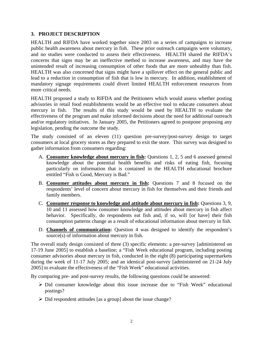#### **3. PROJECT DESCRIPTION**

HEALTH and RIFDA have worked together since 2003 on a series of campaigns to increase public health awareness about mercury in fish. These prior outreach campaigns were voluntary, and no studies were conducted to assess their effectiveness. HEALTH shared the RIFDA's concerns that signs may be an ineffective method to increase awareness, and may have the unintended result of increasing consumption of other foods that are more unhealthy than fish. HEALTH was also concerned that signs might have a spillover effect on the general public and lead to a reduction in consumption of fish that is low in mercury. In addition, establishment of mandatory signage requirements could divert limited HEALTH enforcement resources from more critical needs.

HEALTH proposed a study to RIFDA and the Petitioners which would assess whether posting advisories in retail food establishments would be an effective tool to educate consumers about mercury in fish. The results of this study would be used by HEALTH to evaluate the effectiveness of the program and make informed decisions about the need for additional outreach and/or regulatory initiatives. In January 2005, the Petitioners agreed to postpone proposing any legislation, pending the outcome the study.

The study consisted of an eleven (11) question pre-survey/post-survey design to target consumers at local grocery stores as they prepared to exit the store. This survey was designed to gather information from consumers regarding:

- A. **Consumer knowledge about mercury in fish:** Questions 1, 2, 5 and 6 assessed general knowledge about the potential health benefits and risks of eating fish, focusing particularly on information that is contained in the HEALTH educational brochure entitled "Fish is Good, Mercury is Bad."
- B. **Consumer attitudes about mercury in fish:** Questions 7 and 8 focused on the respondents' level of concern about mercury in fish for themselves and their friends and family members.
- C. **Consumer response to knowledge and attitude about mercury in fish:** Questions 3, 9, 10 and 11 assessed how consumer knowledge and attitudes about mercury in fish affect behavior. Specifically, do respondents eat fish and, if so, will [or have] their fish consumption patterns change as a result of educational information about mercury in fish.
- D. **Channels of communication:** Question 4 was designed to identify the respondent's source(s) of information about mercury in fish.

The overall study design consisted of three (3) specific elements: a pre-survey [administered on 17-19 June 2005] to establish a baseline; a "Fish Week educational program, including posting consumer advisories about mercury in fish, conducted in the eight (8) participating supermarkets during the week of 11-17 July 2005; and an identical post-survey [administered on 21-24 July 2005] to evaluate the effectiveness of the "Fish Week" educational activities.

By comparing pre- and post-survey results, the following questions could be answered:

- ¾ Did consumer knowledge about this issue increase due to "Fish Week" educational postings?
- $\triangleright$  Did respondent attitudes [as a group] about the issue change?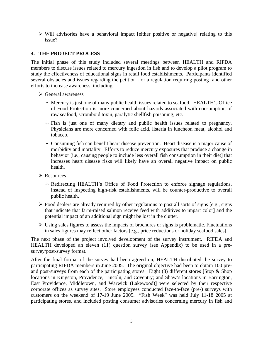$\triangleright$  Will advisories have a behavioral impact [either positive or negative] relating to this issue?

#### **4. THE PROJECT PROCESS**

The initial phase of this study included several meetings between HEALTH and RIFDA members to discuss issues related to mercury ingestion in fish and to develop a pilot program to study the effectiveness of educational signs in retail food establishments. Participants identified several obstacles and issues regarding the petition [for a regulation requiring posting] and other efforts to increase awareness, including:

- $\triangleright$  General awareness
	- $\overline{\phantom{a}}$  Mercury is just one of many public health issues related to seafood. HEALTH's Office of Food Protection is more concerned about hazards associated with consumption of raw seafood, scromboid toxin, paralytic shellfish poisoning, etc.
	- $\overline{\phantom{a}}$  Fish is just one of many dietary and public health issues related to pregnancy. Physicians are more concerned with folic acid, listeria in luncheon meat, alcohol and tobacco.
	- $\lambda$  Consuming fish can benefit heart disease prevention. Heart disease is a major cause of morbidity and mortality. Efforts to reduce mercury exposures that produce a change in behavior [i.e., causing people to include less overall fish consumption in their diet] that increases heart disease risks will likely have an overall negative impact on public health.
- $\triangleright$  Resources
	- $\lambda$  Redirecting HEALTH's Office of Food Protection to enforce signage regulations, instead of inspecting high-risk establishments, will be counter-productive to overall public health.
- $\triangleright$  Food dealers are already required by other regulations to post all sorts of signs [e.g., signs] that indicate that farm-raised salmon receive feed with additives to impart color] and the potential impact of an additional sign might be lost in the clutter.
- $\triangleright$  Using sales figures to assess the impacts of brochures or signs is problematic. Fluctuations in sales figures may reflect other factors [e.g., price reductions or holiday seafood sales].

The next phase of the project involved development of the survey instrument. RIFDA and HEALTH developed an eleven (11) question survey (see Appendix) to be used in a presurvey/post-survey format.

After the final format of the survey had been agreed on, HEALTH distributed the survey to participating RIFDA members in June 2005. The original objective had been to obtain 100 preand post-surveys from each of the participating stores. Eight (8) different stores [Stop & Shop locations in Kingston, Providence, Lincoln, and Coventry; and Shaw's locations in Barrington, East Providence, Middletown, and Warwick (Lakewood)] were selected by their respective corporate offices as survey sites. Store employees conducted face-to-face (pre-) surveys with customers on the weekend of 17-19 June 2005. "Fish Week" was held July 11-18 2005 at participating stores, and included posting consumer advisories concerning mercury in fish and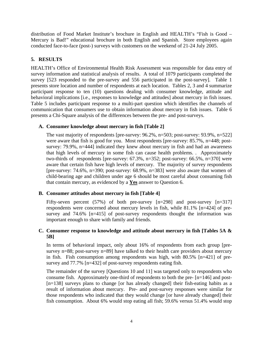distribution of Food Market Institute's brochure in English and HEALTH's "Fish is Good – Mercury is Bad!" educational brochure in both English and Spanish. Store employees again conducted face-to-face (post-) surveys with customers on the weekend of 21-24 July 2005.

#### **5. RESULTS**

HEALTH's Office of Environmental Health Risk Assessment was responsible for data entry of survey information and statistical analysis of results. A total of 1079 participants completed the survey [523 responded to the pre-survey and 556 participated in the post-survey]. Table 1 presents store location and number of respondents at each location. Tables 2, 3 and 4 summarize participant response to ten (10) questions dealing with consumer knowledge, attitude and behavioral implications [i.e., responses to knowledge and attitudes] about mercury in fish issues. Table 5 includes participant response to a multi-part question which identifies the channels of communication that consumers use to obtain information about mercury in fish issues. Table 6 presents a Chi-Square analysis of the differences between the pre- and post-surveys.

#### **A. Consumer knowledge about mercury in fish [Table 2]**

The vast majority of respondents [pre-survey: 96.2%, n=503; post-survey: 93.9%, n=522] were aware that fish is good for you. Most respondents [pre-survey: 85.7%, n=448; postsurvey: 79.9%, n=444] indicated they knew about mercury in fish and had an awareness that high levels of mercury in some fish can cause health problems. . Approximately two-thirds of respondents [pre-survey: 67.3%, n=352; post-survey: 66.5%, n=370] were aware that certain fish have high levels of mercury. The majority of survey respondents [pre-survey: 74.6%, n=390; post-survey: 68.9%, n=383] were also aware that women of child-bearing age and children under age 6 should be most careful about consuming fish that contain mercury, as evidenced by a **Yes** answer to Question 6.

#### **B. Consumer attitudes about mercury in fish [Table 4]**

Fifty-seven percent (57%) of both pre-survey  $[n=298]$  and post-survey  $[n=317]$ respondents were concerned about mercury levels in fish, while 81.1% [n=424] of presurvey and 74.6% [n=415] of post-survey respondents thought the information was important enough to share with family and friends.

#### **C. Consumer response to knowledge and attitude about mercury in fish [Tables 5A & 5B]**

In terms of behavioral impact, only about 16% of respondents from each group [presurvey n=88; post-survey n=89] have talked to their health care providers about mercury in fish. Fish consumption among respondents was high, with 80.5% [n=421] of presurvey and 77.7% [n=432] of post-survey respondents eating fish.

The remainder of the survey [Questions 10 and 11] was targeted only to respondents who consume fish. Approximately one-third of respondents to both the pre- [n=146] and post- [n=138] surveys plans to change [or has already changed] their fish-eating habits as a result of information about mercury. Pre- and post-survey responses were similar for those respondents who indicated that they would change [or have already changed] their fish consumption. About 6% would stop eating all fish; 59.6% versus 51.4% would stop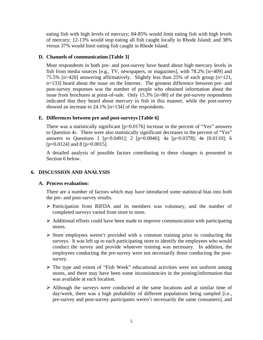eating fish with high levels of mercury; 84-85% would limit eating fish with high levels of mercury; 12-13% would stop eating all fish caught locally in Rhode Island; and 38% versus 37% would limit eating fish caught in Rhode Island.

#### **D. Channels of communication [Table 3]**

Most respondents in both pre- and post-survey have heard about high mercury levels in fish from media sources [e.g., TV, newspapers, or magazines], with 78.2% [n=409] and 75.5% [n=420] answering affirmatively. Slightly less than 25% of each group [n=121, n=133] heard about the issue on the Internet. The greatest difference between pre- and post-survey responses was the number of people who obtained information about the issue from brochures at point-of-sale. Only 15.3% [n=80] of the pre-survey respondents indicated that they heard about mercury in fish in this manner, while the post-survey showed an increase to 24.1% [n=134] of the respondents.

#### **E. Differences between pre and post-surveys [Table 6]**

There was a statistically significant [p=0.0176] increase in the percent of "Yes" answers to Question 4c. There were also statistically significant decreases in the percent of "Yes" answers to Questions 1 [p=0.0491]; 2 [p=0.0046]; 4a [p=0.0378]; 4e [0.0110]; 6  $[p=0.0124]$  and 8  $[p=0.0015]$ .

A detailed analysis of possible factors contributing to these changes is presented in Section 6 below.

#### **6. DISCUSSION AND ANALYSIS**

#### **A. Process evaluation:**

There are a number of factors which may have introduced some statistical bias into both the pre- and post-survey results.

- ¾ Participation from RIFDA and its members was voluntary, and the number of completed surveys varied from store to store.
- $\triangleright$  Additional efforts could have been made to improve communication with participating stores.
- $\triangleright$  Store employees weren't provided with a common training prior to conducting the surveys. It was left up to each participating store to identify the employees who would conduct the survey and provide whatever training was necessary. In addition, the employees conducting the pre-survey were not necessarily those conducting the postsurvey.
- $\triangleright$  The type and extent of "Fish Week" educational activities were not uniform among stores, and there may have been some inconsistencies in the posting/information that was available at each location.
- $\triangleright$  Although the surveys were conducted at the same locations and at similar time of day/week, there was a high probability of different populations being sampled [i.e., pre-survey and post-survey participants weren't necessarily the same consumers], and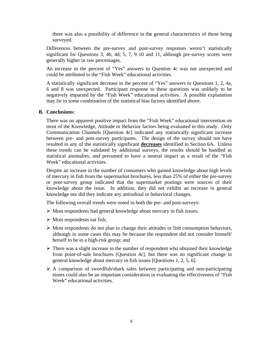there was also a possibility of difference in the general characteristics of those being surveyed.

Differences between the pre-survey and post-survey responses weren't statistically significant for Questions 3, 4b, 4d, 5, 7, 9 10 and 11, although pre-survey scores were generally higher in raw percentages.

An increase in the percent of "Yes" answers to Question 4c was not unexpected and could be attributed to the "Fish Week" educational activities.

A statistically significant decrease in the percent of "Yes" answers to Questions 1, 2, 4a, 6 and 8 was unexpected. Participant response to these questions was unlikely to be negatively impacted by the "Fish Week" educational activities. A possible explanation may lie in some combination of the statistical bias factors identified above.

#### **B. Conclusions:**

There was no apparent positive impact from the "Fish Week" educational intervention on most of the Knowledge, Attitude or Behavior factors being evaluated in this study. Only Communication Channels [Question 4c] indicated any statistically significant increase between pre- and post-survey participants. The design of the survey should not have resulted in any of the statistically significant **decreases** identified in Section 6A. Unless these trends can be validated by additional surveys, the results should be handled as statistical anomalies, and presumed to have a neutral impact as a result of the "Fish Week" educational activities.

Despite an increase in the number of consumers who gained knowledge about high levels of mercury in fish from the supermarket brochures, less than 25% of either the pre-survey or post-survey group indicated that the supermarket postings were sources of their knowledge about the issue. In addition, they did not exhibit an increase in general knowledge nor did they indicate any attitudinal or behavioral changes.

The following overall trends were noted in both the pre- and post-surveys:

- $\triangleright$  Most respondents had general knowledge about mercury in fish issues;
- $\triangleright$  Most respondents eat fish;
- $\triangleright$  Most respondents do not plan to change their attitudes or fish consumption behaviors, although in some cases this may be because the respondent did not consider himself/ herself to be in a high-risk group; and
- $\triangleright$  There was a slight increase in the number of respondent who obtained their knowledge from point-of-sale brochures [Question 4c], but there was no significant change in general knowledge about mercury in fish issues [Questions 1, 2, 5, 6].
- $\triangleright$  A comparison of swordfish/shark sales between participating and non-participating stores could also be an important consideration in evaluating the effectiveness of "Fish Week" educational activities.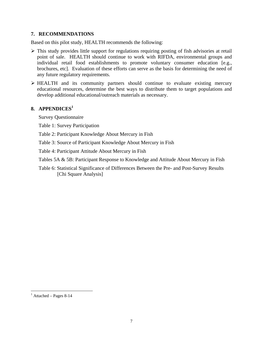#### **7. RECOMMENDATIONS**

Based on this pilot study, HEALTH recommends the following:

- $\triangleright$  This study provides little support for regulations requiring posting of fish advisories at retail point of sale. HEALTH should continue to work with RIFDA, environmental groups and individual retail food establishments to promote voluntary consumer education [e.g., brochures, etc]. Evaluation of these efforts can serve as the basis for determining the need of any future regulatory requirements.
- $\triangleright$  HEALTH and its community partners should continue to evaluate existing mercury educational resources, determine the best ways to distribute them to target populations and develop additional educational/outreach materials as necessary.

#### **8. APPENDICES[1](#page-9-0)**

Survey Questionnaire

Table 1: Survey Participation

Table 2: Participant Knowledge About Mercury in Fish

Table 3: Source of Participant Knowledge About Mercury in Fish

Table 4: Participant Attitude About Mercury in Fish

Tables 5A & 5B: Participant Response to Knowledge and Attitude About Mercury in Fish

Table 6: Statistical Significance of Differences Between the Pre- and Post-Survey Results [Chi Square Analysis]

1

<span id="page-9-0"></span><sup>&</sup>lt;sup>1</sup> Attached – Pages 8-14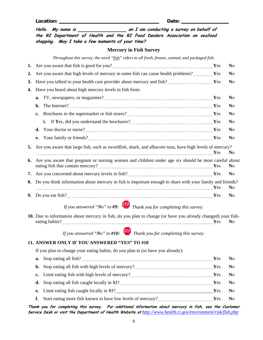Location: <u>Date: Belleville Burnstein and Date:</u> Date:

**Hello. My name is an I am conduct ng a survey on behalf of i the RI Department of Health and the RI Food Dealers Association on seafood shopping. May I take a few moments of your time? Mercury in Fish Survey**  *Throughout this survey, the word "fish" refers to all fresh, frozen, canned, and packaged fish.*  **1.** Are you aware that fish is good for you? **Y**es **N**o **2.** Are you aware that high levels of mercury in some fish can cause health problems? **Y**es **N**o **3.** Have you talked to your health care provider about mercury and fish? **With Allenance Allenance No 4.** Have you heard about high mercury levels in fish from:

**a.** TV, newspapers, or magazines? **We are all the contract of the CO** contract  $\mathbf{Y}$ es No **b.** The Internet? <u>**With The Internet? No**</u> **c.** Brochures in the supermarket or fish stores? **Wese No i.** If Yes, did you understand the brochures? **WES** No **d.** Your doctor or nurse? **We are all the COV YES** No **e.** Your family or friends? **No No 5.** Are you aware that large fish, such as swordfish, shark, and albacore tuna, have high levels of mercury? **Y**es **N**o **6.** Are you aware that pregnant or nursing women and children under age six should be most careful about eating fish that contain mercury? **Y**es **N**o **7.** Are you concerned about mercury levels in fish? **Y**es **N**o **8.** Do you think information about mercury in fish is important enough to share with your family and friends? **Y**es **N**o **9.** Do you eat fish? **Y**es **N**o

*If you answered "No" to #9: Thank you for completing this survey.* 

**10.** Due to information about mercury in fish, do you plan to change (or have you already changed) your fisheating habits? **Y**es **N**o

*If you answered "No" to #10: Thank you for completing this survey.*

#### **11. ANSWER ONLY IF YOU ANSWERED "YES" TO #10**

If you plan to change your eating habits, do you plan to (or have you already):

|    | Yes No |  |
|----|--------|--|
| f. |        |  |
|    |        |  |

**Thank you for completing this survey. For additional information about mercury in fish, see the Customer Service Desk or visit the Department of Health Website at** *<http://www.health.ri.gov/environment/risk/fish.php>*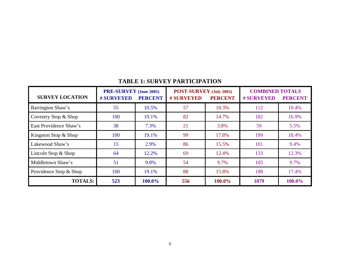| <b>TABLE 1: SURVEY PARTICIPATION</b> |  |  |  |  |  |
|--------------------------------------|--|--|--|--|--|
| ______________________               |  |  |  |  |  |

| <b>SURVEY LOCATION</b> | <b>PRE-SURVEY</b> (June 2005)<br><b>#SURVEYED</b> | <b>PERCENT</b> | POST-SURVEY (July 2005)<br><b>#SURVEYED</b> | <b>PERCENT</b> | <b>COMBINED TOTALS</b><br><b># SURVEYED</b> | <b>PERCENT</b> |
|------------------------|---------------------------------------------------|----------------|---------------------------------------------|----------------|---------------------------------------------|----------------|
| Barrington Shaw's      | 55                                                | 10.5%          | 57                                          | 10.3%          | 112                                         | 10.4%          |
| Coventry Stop & Shop   | 100                                               | 19.1%          | 82                                          | 14.7%          | 182                                         | 16.9%          |
| East Providence Shaw's | 38                                                | 7.3%           | 21                                          | 3.8%           | 59                                          | 5.5%           |
| Kingston Stop & Shop   | 100                                               | 19.1%          | 99                                          | 17.8%          | 199                                         | 18.4%          |
| Lakewood Shaw's        | 15                                                | 2.9%           | 86                                          | 15.5%          | 101                                         | 9.4%           |
| Lincoln Stop $&$ Shop  | 64                                                | 12.2%          | 69                                          | 12.4%          | 133                                         | 12.3%          |
| Middletown Shaw's      | 51                                                | 9.8%           | 54                                          | 9.7%           | 105                                         | 9.7%           |
| Providence Stop & Shop | 100                                               | 19.1%          | 88                                          | 15.8%          | 188                                         | 17.4%          |
| <b>TOTALS:</b>         | 523                                               | 100.0%         | 556                                         | 100.0%         | 1079                                        | 100.0%         |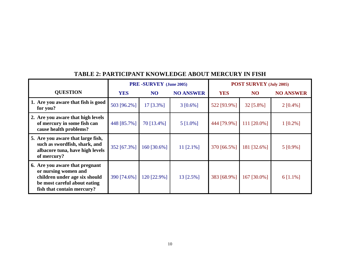|                                                                                                                                                       | <b>PRE-SURVEY</b> (June 2005) |             | <b>POST SURVEY (July 2005)</b> |             |             |                  |
|-------------------------------------------------------------------------------------------------------------------------------------------------------|-------------------------------|-------------|--------------------------------|-------------|-------------|------------------|
| <b>QUESTION</b>                                                                                                                                       | <b>YES</b>                    | <b>NO</b>   | <b>NO ANSWER</b>               | <b>YES</b>  | <b>NO</b>   | <b>NO ANSWER</b> |
| 1. Are you aware that fish is good<br>for you?                                                                                                        | 503 [96.2%]                   | $17$ [3.3%] | $3 [0.6\%]$                    | 522 [93.9%] | $32$ [5.8%] | $2 [0.4\%]$      |
| 2. Are you aware that high levels<br>of mercury in some fish can<br>cause health problems?                                                            | 448 [85.7%]                   | 70 [13.4%]  | $5$ [1.0%]                     | 444 [79.9%] | 111 [20.0%] | $1 [0.2\%]$      |
| 5. Are you aware that large fish,<br>such as swordfish, shark, and<br>albacore tuna, have high levels<br>of mercury?                                  | 352 [67.3%]                   | 160 [30.6%] | 11 $[2.1\%]$                   | 370 [66.5%] | 181 [32.6%] | $5 [0.9\%]$      |
| 6. Are you aware that pregnant<br>or nursing women and<br>children under age six should<br>be most careful about eating<br>fish that contain mercury? | 390 [74.6%]                   | 120 [22.9%] | 13 [2.5%]                      | 383 [68.9%] | 167 [30.0%] | $6$ [1.1%]       |

## **TABLE 2: PARTICIPANT KNOWLEDGE ABOUT MERCURY IN FISH**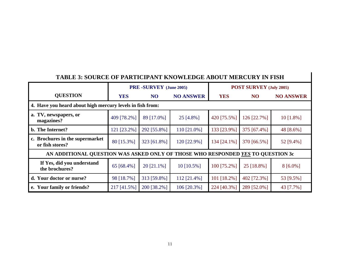| <b>TABLE 3: SOURCE OF PARTICIPANT KNOWLEDGE ABOUT MERCURY IN FISH</b>           |             |                        |                  |                                |             |                  |  |  |
|---------------------------------------------------------------------------------|-------------|------------------------|------------------|--------------------------------|-------------|------------------|--|--|
|                                                                                 |             | PRE-SURVEY (June 2005) |                  | <b>POST SURVEY (July 2005)</b> |             |                  |  |  |
| <b>QUESTION</b>                                                                 | <b>YES</b>  | <b>NO</b>              | <b>NO ANSWER</b> | <b>YES</b>                     | NO          | <b>NO ANSWER</b> |  |  |
| 4. Have you heard about high mercury levels in fish from:                       |             |                        |                  |                                |             |                  |  |  |
| a. TV, newspapers, or<br>magazines?                                             | 409 [78.2%] | 89 [17.0%]             | 25 [4.8%]        | 420 [75.5%]                    | 126 [22.7%] | $10$ [1.8%]      |  |  |
| b. The Internet?                                                                | 121 [23.2%] | 292 [55.8%]            | 110 [21.0%]      | 133 [23.9%]                    | 375 [67.4%] | 48 [8.6%]        |  |  |
| c. Brochures in the supermarket<br>or fish stores?                              | 80 [15.3%]  | 323 [61.8%]            | 120 [22.9%]      | 134 [24.1%]                    | 370 [66.5%] | 52 [9.4%]        |  |  |
| AN ADDITIONAL QUESTION WAS ASKED ONLY OF THOSE WHO RESPONDED YES TO QUESTION 3c |             |                        |                  |                                |             |                  |  |  |
| If Yes, did you understand<br>the brochures?                                    | 65 [68.4%]  | $20$ [21.1%]           | 10 [10.5%]       | 100 [75.2%]                    | 25 [18.8%]  | $8[6.0\%]$       |  |  |
| d. Your doctor or nurse?                                                        | 98 [18.7%]  | 313 [59.8%]            | 112 [21.4%]      | 101 [18.2%]                    | 402 [72.3%] | 53 [9.5%]        |  |  |
| e. Your family or friends?                                                      | 217 [41.5%] | 200 [38.2%]            | 106 [20.3%]      | 224 [40.3%]                    | 289 [52.0%] | 43 [7.7%]        |  |  |

## **TABLE 3: SOURCE OF PARTICIPANT KNOWLEDGE ABOUT MERCURY IN FISH**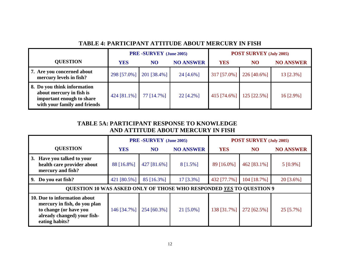|                                                                                                                      | <b>PRE-SURVEY</b> (June 2005) |             |                  | <b>POST SURVEY (July 2005)</b> |                |                  |
|----------------------------------------------------------------------------------------------------------------------|-------------------------------|-------------|------------------|--------------------------------|----------------|------------------|
| <b>QUESTION</b>                                                                                                      | <b>YES</b>                    | NO          | <b>NO ANSWER</b> | <b>YES</b>                     | N <sub>O</sub> | <b>NO ANSWER</b> |
| 7. Are you concerned about<br>mercury levels in fish?                                                                | 298 [57.0%]                   | 201 [38.4%] | 24 [4.6%]        | 317 [57.0%]                    | $226$ [40.6%]  | 13 [2.3%]        |
| 8. Do you think information<br>about mercury in fish is<br>important enough to share<br>with your family and friends | 424 [81.1%]                   | 77 [14.7%]  | $22$ [4.2%]      | 415 [74.6%]                    | $125$ [22.5%]  | $16$ [2.9%]      |

## **TABLE 4: PARTICIPANT ATTITUDE ABOUT MERCURY IN FISH**

### **TABLE 5A: PARTICIPANT RESPONSE TO KNOWLEDGE AND ATTITUDE ABOUT MERCURY IN FISH**

|                                                                                                                                         | <b>PRE-SURVEY</b> (June 2005) |             |                  | <b>POST SURVEY (July 2005)</b> |             |                  |
|-----------------------------------------------------------------------------------------------------------------------------------------|-------------------------------|-------------|------------------|--------------------------------|-------------|------------------|
| <b>QUESTION</b>                                                                                                                         | <b>YES</b>                    | <b>NO</b>   | <b>NO ANSWER</b> | <b>YES</b>                     | <b>NO</b>   | <b>NO ANSWER</b> |
| Have you talked to your<br>3.<br>health care provider about<br>mercury and fish?                                                        | 88 [16.8%]                    | 427 [81.6%] | 8 [1.5%]         | 89 [16.0%]                     | 462 [83.1%] | $5 [0.9\%]$      |
| Do you eat fish?<br>9.                                                                                                                  | 421 [80.5%]                   | 85 [16.3%]  | 17 [3.3%]        | 432 [77.7%]                    | 104 [18.7%] | $20$ [3.6%]      |
| <b>OUESTION 10 WAS ASKED ONLY OF THOSE WHO RESPONDED YES TO QUESTION 9</b>                                                              |                               |             |                  |                                |             |                  |
| 10. Due to information about<br>mercury in fish, do you plan<br>to change (or have you<br>already changed) your fish-<br>eating habits? | 146 [34.7%]                   | 254 [60.3%] | $21$ [5.0%]      | 138 [31.7%]                    | 272 [62.5%] | $25$ [5.7%]      |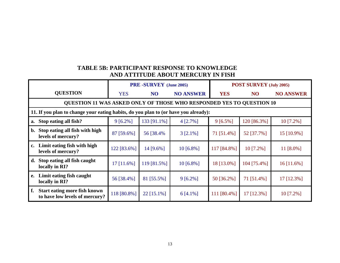## **TABLE 5B: PARTICIPANT RESPONSE TO KNOWLEDGE AND ATTITUDE ABOUT MERCURY IN FISH**

|                                                                                     | PRE-SURVEY (June 2005) |                | <b>POST SURVEY (July 2005)</b> |             |             |                  |
|-------------------------------------------------------------------------------------|------------------------|----------------|--------------------------------|-------------|-------------|------------------|
| <b>QUESTION</b>                                                                     | <b>YES</b>             | NO             | <b>NO ANSWER</b>               | <b>YES</b>  | <b>NO</b>   | <b>NO ANSWER</b> |
| QUESTION 11 WAS ASKED ONLY OF THOSE WHO RESPONDED YES TO QUESTION 10                |                        |                |                                |             |             |                  |
| 11. If you plan to change your eating habits, do you plan to (or have you already): |                        |                |                                |             |             |                  |
| Stop eating all fish?<br>a.                                                         | $9[6.2\%]$             | 133 [91.1%]    | $4 [2.7\%]$                    | $9[6.5\%]$  | 120 [86.3%] | $10$ [7.2%]      |
| Stop eating all fish with high<br>$\mathbf{b}$ .<br>levels of mercury?              | 87 [59.6%]             | 56 [38.4%]     | $3 [2.1\%]$                    | 71 [51.4%]  | 52 [37.7%]  | 15 [10.9%]       |
| Limit eating fish with high<br>$c_{\bullet}$<br>levels of mercury?                  | 122 [83.6%]            | 14 [ $9.6\%$ ] | $10 [6.8\%]$                   | 117 [84.8%] | 10 [7.2%]   | 11 $[8.0\%]$     |
| Stop eating all fish caught<br>d.<br>locally in RI?                                 | $17$ [11.6%]           | 119 [81.5%]    | 10 [6.8%]                      | 18 [13.0%]  | 104 [75.4%] | $16$ [11.6%]     |
| Limit eating fish caught<br>e.<br>locally in RI?                                    | 56 [38.4%]             | 81 [55.5%]     | $9[6.2\%]$                     | 50 [36.2%]  | 71 [51.4%]  | 17 [12.3%]       |
| f.<br><b>Start eating more fish known</b><br>to have low levels of mercury?         | 118 [80.8%]            | $22$ [15.1%]   | 6 [4.1%]                       | 111 [80.4%] | 17 [12.3%]  | $10$ [7.2%]      |